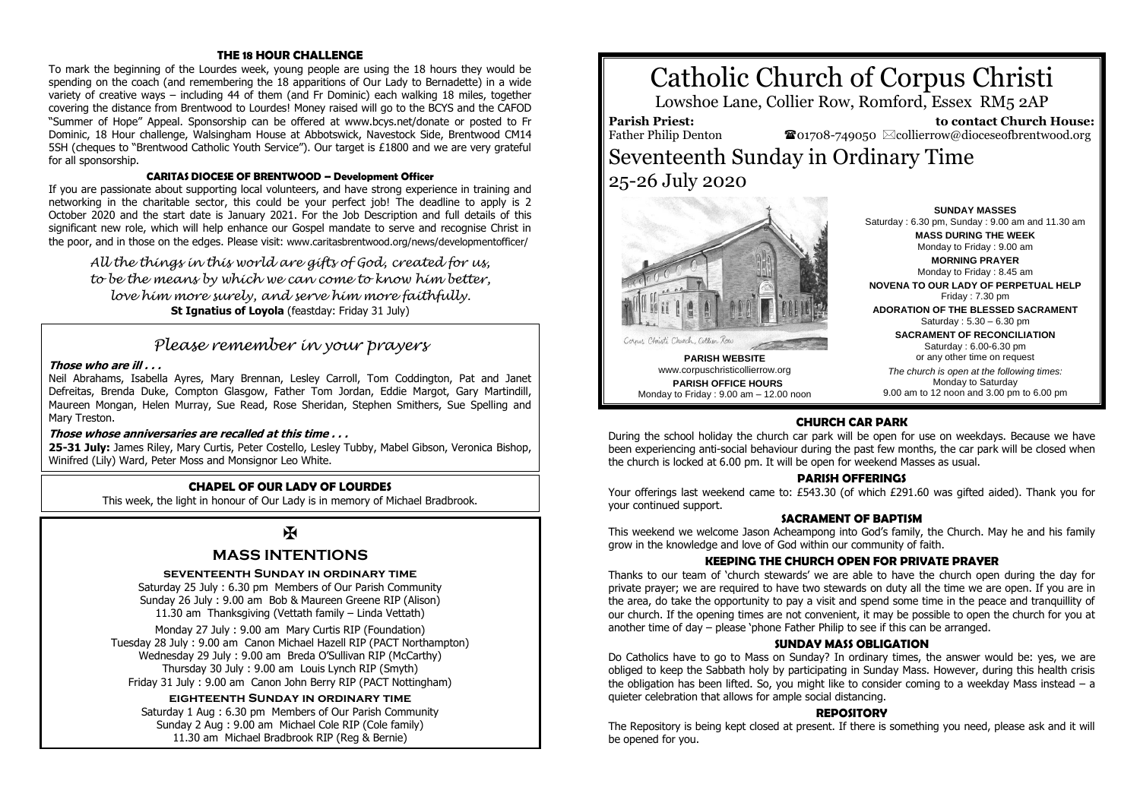#### **THE 18 HOUR CHALLENGE**

To mark the beginning of the Lourdes week, young people are using the 18 hours they would be spending on the coach (and remembering the 18 apparitions of Our Lady to Bernadette) in a wide variety of creative ways – including 44 of them (and Fr Dominic) each walking 18 miles, together covering the distance from Brentwood to Lourdes! Money raised will go to the BCYS and the CAFOD "Summer of Hope" Appeal. Sponsorship can be offered at www.bcys.net/donate or posted to Fr Dominic, 18 Hour challenge, Walsingham House at Abbotswick, Navestock Side, Brentwood CM14 5SH (cheques to "Brentwood Catholic Youth Service"). Our target is £1800 and we are very grateful for all sponsorship.

#### **CARITAS DIOCESE OF BRENTWOOD – Development Officer**

If you are passionate about supporting local volunteers, and have strong experience in training and networking in the charitable sector, this could be your perfect job! The deadline to apply is 2 October 2020 and the start date is January 2021. For the Job Description and full details of this significant new role, which will help enhance our Gospel mandate to serve and recognise Christ in the poor, and in those on the edges. Please visit: www.caritasbrentwood.org/news/developmentofficer/

*All the things in this world are gifts of God, created for us, to be the means by which we can come to know him better, love him more surely, and serve him more faithfully.* **St Ignatius of Loyola** (feastday: Friday 31 July)

## *Please remember in your prayers*

#### **Those who are ill . . .**

Neil Abrahams, Isabella Ayres, Mary Brennan, Lesley Carroll, Tom Coddington, Pat and Janet Defreitas, Brenda Duke, Compton Glasgow, Father Tom Jordan, Eddie Margot, Gary Martindill, Maureen Mongan, Helen Murray, Sue Read, Rose Sheridan, Stephen Smithers, Sue Spelling and Mary Treston.

#### **Those whose anniversaries are recalled at this time . . .**

**25-31 July:** James Riley, Mary Curtis, Peter Costello, Lesley Tubby, Mabel Gibson, Veronica Bishop, Winifred (Lily) Ward, Peter Moss and Monsignor Leo White.

#### **CHAPEL OF OUR LADY OF LOURDES**

This week, the light in honour of Our Lady is in memory of Michael Bradbrook.

## $\overline{\mathbf{X}}$

#### **MASS INTENTIONS**

#### **seventeenth Sunday in ordinary time**

Saturday 25 July : 6.30 pm Members of Our Parish Community Sunday 26 July : 9.00 am Bob & Maureen Greene RIP (Alison) 11.30 am Thanksgiving (Vettath family – Linda Vettath)

Monday 27 July : 9.00 am Mary Curtis RIP (Foundation) Tuesday 28 July : 9.00 am Canon Michael Hazell RIP (PACT Northampton) Wednesday 29 July : 9.00 am Breda O'Sullivan RIP (McCarthy) Thursday 30 July : 9.00 am Louis Lynch RIP (Smyth) Friday 31 July : 9.00 am Canon John Berry RIP (PACT Nottingham)

#### **eighteenth Sunday in ordinary time**

Saturday 1 Aug : 6.30 pm Members of Our Parish Community Sunday 2 Aug : 9.00 am Michael Cole RIP (Cole family) 11.30 am Michael Bradbrook RIP (Reg & Bernie)

# Catholic Church of Corpus Christi

Lowshoe Lane, Collier Row, Romford, Essex RM5 2AP

**Parish Priest:** Father Philip Denton

 **to contact Church House:**  $\bullet$ 01708-749050  $\boxtimes$ collierrow@dioceseofbrentwood.org

## Seventeenth Sunday in Ordinary Time 25-26 July 2020



**PARISH WEBSITE** www.corpuschristicollierrow.org **PARISH OFFICE HOURS** Monday to Friday : 9.00 am – 12.00 noon

**SUNDAY MASSES** Saturday : 6.30 pm, Sunday : 9.00 am and 11.30 am **MASS DURING THE WEEK** Monday to Friday : 9.00 am

**MORNING PRAYER** Monday to Friday : 8.45 am

**NOVENA TO OUR LADY OF PERPETUAL HELP** Friday : 7.30 pm

**ADORATION OF THE BLESSED SACRAMENT** Saturday : 5.30 – 6.30 pm

> **SACRAMENT OF RECONCILIATION** Saturday : 6.00-6.30 pm or any other time on request

*The church is open at the following times:* Monday to Saturday 9.00 am to 12 noon and 3.00 pm to 6.00 pm

#### **CHURCH CAR PARK**

During the school holiday the church car park will be open for use on weekdays. Because we have been experiencing anti-social behaviour during the past few months, the car park will be closed when the church is locked at 6.00 pm. It will be open for weekend Masses as usual.

#### **PARISH OFFERINGS**

Your offerings last weekend came to: £543.30 (of which £291.60 was gifted aided). Thank you for your continued support.

#### **SACRAMENT OF BAPTISM**

This weekend we welcome Jason Acheampong into God's family, the Church. May he and his family grow in the knowledge and love of God within our community of faith.

#### **KEEPING THE CHURCH OPEN FOR PRIVATE PRAYER**

Thanks to our team of 'church stewards' we are able to have the church open during the day for private prayer; we are required to have two stewards on duty all the time we are open. If you are in the area, do take the opportunity to pay a visit and spend some time in the peace and tranquillity of our church. If the opening times are not convenient, it may be possible to open the church for you at another time of day – please 'phone Father Philip to see if this can be arranged.

#### **SUNDAY MASS OBLIGATION**

Do Catholics have to go to Mass on Sunday? In ordinary times, the answer would be: yes, we are obliged to keep the Sabbath holy by participating in Sunday Mass. However, during this health crisis the obligation has been lifted. So, you might like to consider coming to a weekday Mass instead – a quieter celebration that allows for ample social distancing.

#### **REPOSITORY**

The Repository is being kept closed at present. If there is something you need, please ask and it will be opened for you.